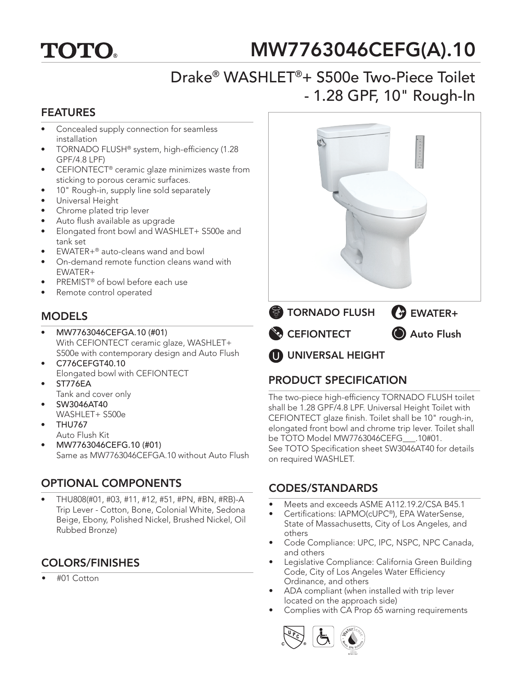

# MW7763046CEFG(A).10

## Drake® WASHLET®+ S500e Two-Piece Toilet - 1.28 GPF, 10" Rough-In

### FEATURES

- Concealed supply connection for seamless installation
- TORNADO FLUSH® system, high-efficiency (1.28 GPF/4.8 LPF)
- CEFIONTECT<sup>®</sup> ceramic glaze minimizes waste from sticking to porous ceramic surfaces.
- 10" Rough-in, supply line sold separately
- Universal Height
- Chrome plated trip lever
- Auto flush available as upgrade
- Elongated front bowl and WASHLET+ S500e and tank set
- EWATER+<sup>®</sup> auto-cleans wand and bowl
- On-demand remote function cleans wand with EWATER+
- PREMIST<sup>®</sup> of bowl before each use
- Remote control operated

## **MODELS**

- MW7763046CEFGA.10 (#01) With CEFIONTECT ceramic glaze, WASHLET+ S500e with contemporary design and Auto Flush
- C776CEFGT40.10 Elongated bowl with CEFIONTECT
- ST776EA
- Tank and cover only • SW3046AT40
- WASHLET+ S500e
- THU767 Auto Flush Kit
- MW7763046CEFG.10 (#01) Same as MW7763046CEFGA.10 without Auto Flush

## OPTIONAL COMPONENTS

• THU808(#01, #03, #11, #12, #51, #PN, #BN, #RB)-A Trip Lever - Cotton, Bone, Colonial White, Sedona Beige, Ebony, Polished Nickel, Brushed Nickel, Oil Rubbed Bronze)

## COLORS/FINISHES

• #01 Cotton



## PRODUCT SPECIFICATION

The two-piece high-efficiency TORNADO FLUSH toilet shall be 1.28 GPF/4.8 LPF. Universal Height Toilet with CEFIONTECT glaze finish. Toilet shall be 10" rough-in, elongated front bowl and chrome trip lever. Toilet shall be TOTO Model MW7763046CEFG\_\_\_.10#01. See TOTO Specification sheet SW3046AT40 for details on required WASHLET.

## CODES/STANDARDS

- Meets and exceeds ASME A112.19.2/CSA B45.1
- Certifications: IAPMO(cUPC®), EPA WaterSense, State of Massachusetts, City of Los Angeles, and others
- Code Compliance: UPC, IPC, NSPC, NPC Canada, and others
- Legislative Compliance: California Green Building Code, City of Los Angeles Water Efficiency Ordinance, and others
- ADA compliant (when installed with trip lever located on the approach side)
- Complies with CA Prop 65 warning requirements